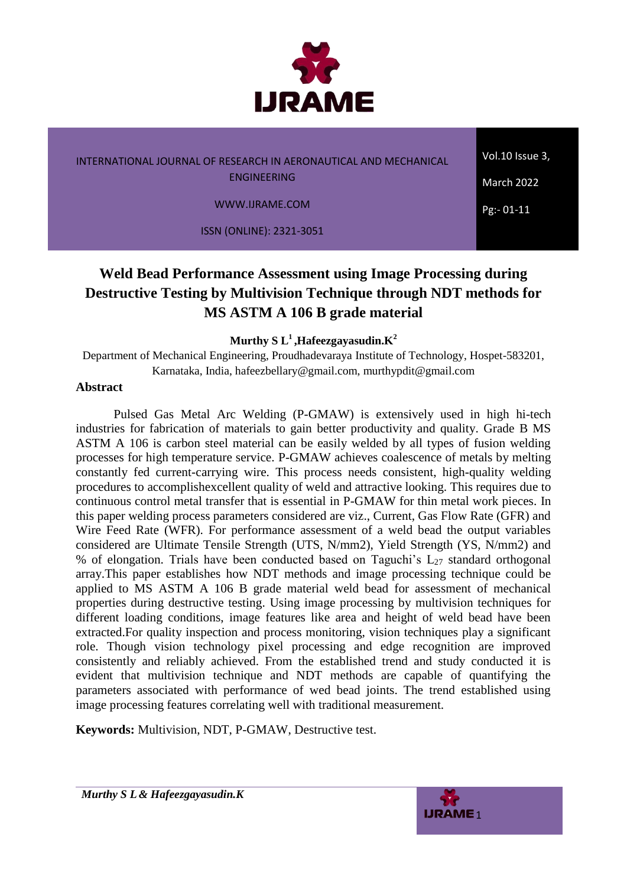

Vol.10 Issue 3,

March 2022

 $Pg: -01-11$ 

WWW.IJRAME.COM

ISSN (ONLINE): 2321-3051

# **Weld Bead Performance Assessment using Image Processing during Destructive Testing by Multivision Technique through NDT methods for MS ASTM A 106 B grade material**

**Murthy S L<sup>1</sup> ,Hafeezgayasudin.K<sup>2</sup>**

Department of Mechanical Engineering, Proudhadevaraya Institute of Technology, Hospet-583201, Karnataka, India, [hafeezbellary@gmail.com,](mailto:hafeezbellary@gmail.com) murthypdit@gmail.com

#### **Abstract**

Pulsed Gas Metal Arc Welding (P-GMAW) is extensively used in high hi-tech industries for fabrication of materials to gain better productivity and quality. Grade B MS ASTM A 106 is carbon steel material can be easily welded by all types of fusion welding processes for high temperature service. P-GMAW achieves coalescence of metals by melting constantly fed current-carrying wire. This process needs consistent, high-quality welding procedures to accomplishexcellent quality of weld and attractive looking. This requires due to continuous control metal transfer that is essential in P-GMAW for thin metal work pieces. In this paper welding process parameters considered are viz., Current, Gas Flow Rate (GFR) and Wire Feed Rate (WFR). For performance assessment of a weld bead the output variables considered are Ultimate Tensile Strength (UTS, N/mm2), Yield Strength (YS, N/mm2) and % of elongation. Trials have been conducted based on Taguchi's  $L_{27}$  standard orthogonal array.This paper establishes how NDT methods and image processing technique could be applied to MS ASTM A 106 B grade material weld bead for assessment of mechanical properties during destructive testing. Using image processing by multivision techniques for different loading conditions, image features like area and height of weld bead have been extracted.For quality inspection and process monitoring, vision techniques play a significant role. Though vision technology pixel processing and edge recognition are improved consistently and reliably achieved. From the established trend and study conducted it is evident that multivision technique and NDT methods are capable of quantifying the parameters associated with performance of wed bead joints. The trend established using image processing features correlating well with traditional measurement.

**Keywords:** Multivision, NDT, P-GMAW, Destructive test.

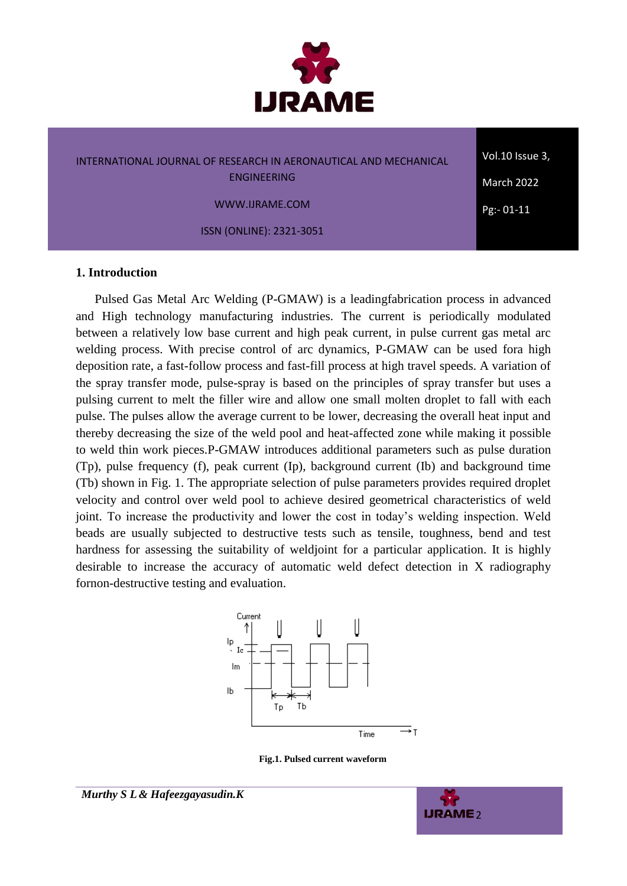

Vol.10 Issue 3, March 2022

Pg:- 01-11

WWW.IJRAME.COM

ISSN (ONLINE): 2321-3051

#### **1. Introduction**

Pulsed Gas Metal Arc Welding (P-GMAW) is a leadingfabrication process in advanced and High technology manufacturing industries. The current is periodically modulated between a relatively low base current and high peak current, in pulse current gas metal arc welding process. With precise control of arc dynamics, P-GMAW can be used fora high deposition rate, a fast-follow process and fast-fill process at high travel speeds. A variation of the spray transfer mode, pulse-spray is based on the principles of spray transfer but uses a pulsing current to melt the filler wire and allow one small molten droplet to fall with each pulse. The pulses allow the average current to be lower, decreasing the overall heat input and thereby decreasing the size of the weld pool and heat-affected zone while making it possible to weld thin work pieces.P-GMAW introduces additional parameters such as pulse duration (Tp), pulse frequency (f), peak current (Ip), background current (Ib) and background time (Tb) shown in Fig. 1. The appropriate selection of pulse parameters provides required droplet velocity and control over weld pool to achieve desired geometrical characteristics of weld joint. To increase the productivity and lower the cost in today's welding inspection. Weld beads are usually subjected to destructive tests such as tensile, toughness, bend and test hardness for assessing the suitability of weldjoint for a particular application. It is highly desirable to increase the accuracy of automatic weld defect detection in X radiography fornon-destructive testing and evaluation.



**Fig.1. Pulsed current waveform**

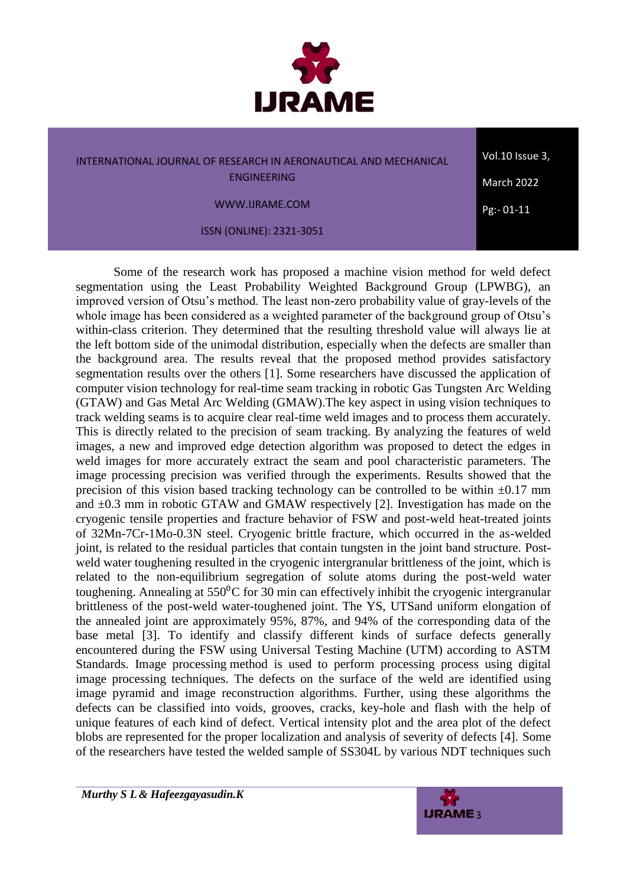

Vol.10 Issue 3,

WWW.IJRAME.COM

ISSN (ONLINE): 2321-3051

 $Pg: -01-11$ 

March 2022

Some of the research work has proposed a machine vision method for weld defect segmentation using the Least Probability Weighted Background Group (LPWBG), an improved version of Otsu's method. The least non-zero probability value of gray-levels of the whole image has been considered as a weighted parameter of the background group of Otsu's within-class criterion. They determined that the resulting threshold value will always lie at the left bottom side of the unimodal distribution, especially when the defects are smaller than the background area. The results reveal that the proposed method provides satisfactory segmentation results over the others [1]. Some researchers have discussed the application of computer vision technology for real-time seam tracking in robotic Gas Tungsten Arc Welding (GTAW) and Gas Metal Arc Welding (GMAW).The key aspect in using vision techniques to track welding seams is to acquire clear real-time weld images and to process them accurately. This is directly related to the precision of seam tracking. By analyzing the features of weld images, a new and improved edge detection algorithm was proposed to detect the edges in weld images for more accurately extract the seam and pool characteristic parameters. The image processing precision was verified through the experiments. Results showed that the precision of this vision based tracking technology can be controlled to be within  $\pm 0.17$  mm and  $\pm 0.3$  mm in robotic GTAW and GMAW respectively [2]. Investigation has made on the cryogenic tensile properties and fracture behavior of FSW and post-weld heat-treated joints of 32Mn-7Cr-1Mo-0.3N steel. Cryogenic brittle fracture, which occurred in the as-welded joint, is related to the residual particles that contain tungsten in the joint band structure. Postweld water toughening resulted in the cryogenic intergranular brittleness of the joint, which is related to the non-equilibrium segregation of solute atoms during the post-weld water toughening. Annealing at  $550\text{°C}$  for 30 min can effectively inhibit the cryogenic intergranular brittleness of the post-weld water-toughened joint. The YS, UTSand uniform elongation of the annealed joint are approximately 95%, 87%, and 94% of the corresponding data of the base metal [3]. To identify and classify different kinds of surface defects generally encountered during the FSW using Universal Testing Machine (UTM) according to ASTM Standards. Image processing method is used to perform processing process using digital image processing techniques. The defects on the surface of the weld are identified using image pyramid and image reconstruction algorithms. Further, using these algorithms the defects can be classified into voids, grooves, cracks, key-hole and flash with the help of unique features of each kind of defect. Vertical intensity plot and the area plot of the defect blobs are represented for the proper localization and analysis of severity of defects [4]. Some of the researchers have tested the welded sample of SS304L by various NDT techniques such

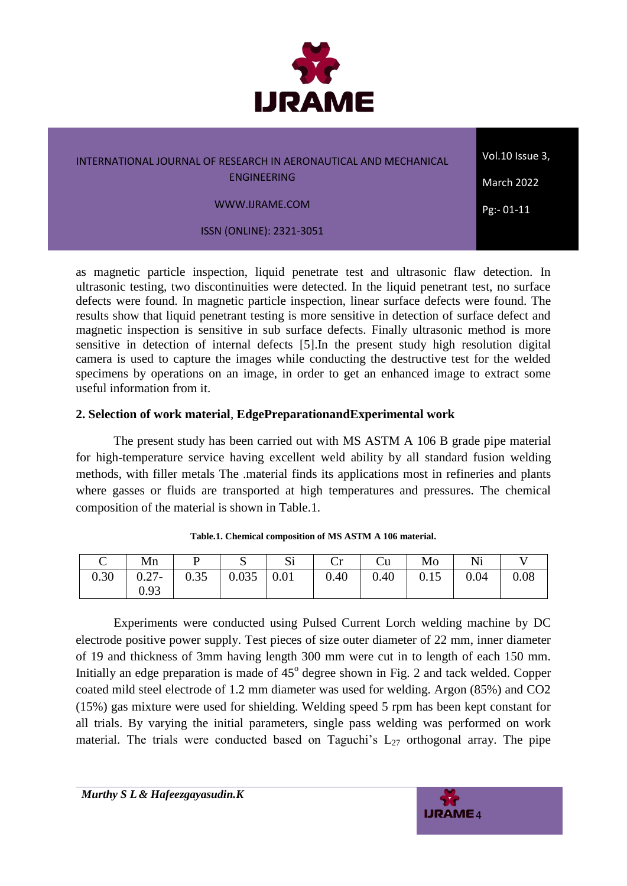

Vol.10 Issue 3, March 2022

 $Pg: -01-11$ 

WWW.IJRAME.COM

ISSN (ONLINE): 2321-3051

as magnetic particle inspection, liquid penetrate test and ultrasonic flaw detection. In ultrasonic testing, two discontinuities were detected. In the liquid penetrant test, no surface defects were found. In magnetic particle inspection, linear surface defects were found. The results show that liquid penetrant testing is more sensitive in detection of surface defect and magnetic inspection is sensitive in sub surface defects. Finally ultrasonic method is more sensitive in detection of internal defects [5].In the present study high resolution digital camera is used to capture the images while conducting the destructive test for the welded specimens by operations on an image, in order to get an enhanced image to extract some useful information from it.

## **2. Selection of work material**, **EdgePreparationandExperimental work**

The present study has been carried out with MS ASTM A 106 B grade pipe material for high-temperature service having excellent weld ability by all standard fusion welding methods, with filler metals The .material finds its applications most in refineries and plants where gasses or fluids are transported at high temperatures and pressures. The chemical composition of the material is shown in Table.1.

| $\vert$ Mn $\vert$ P $\vert$ S $\vert$ Si $\vert$ Cr $\vert$ Cu $\vert$ Mo $\vert$ Ni      |  |  |  |  |
|--------------------------------------------------------------------------------------------|--|--|--|--|
| $0.30$   $0.27$ -   $0.35$   $0.035$   $0.01$   $0.40$   $0.40$   $0.15$   $0.04$   $0.08$ |  |  |  |  |
| 0.93                                                                                       |  |  |  |  |

| Table.1. Chemical composition of MS ASTM A 106 material. |
|----------------------------------------------------------|
|----------------------------------------------------------|

Experiments were conducted using Pulsed Current Lorch welding machine by DC electrode positive power supply. Test pieces of size outer diameter of 22 mm, inner diameter of 19 and thickness of 3mm having length 300 mm were cut in to length of each 150 mm. Initially an edge preparation is made of 45° degree shown in Fig. 2 and tack welded. Copper coated mild steel electrode of 1.2 mm diameter was used for welding. Argon (85%) and CO2 (15%) gas mixture were used for shielding. Welding speed 5 rpm has been kept constant for all trials. By varying the initial parameters, single pass welding was performed on work material. The trials were conducted based on Taguchi's  $L_{27}$  orthogonal array. The pipe

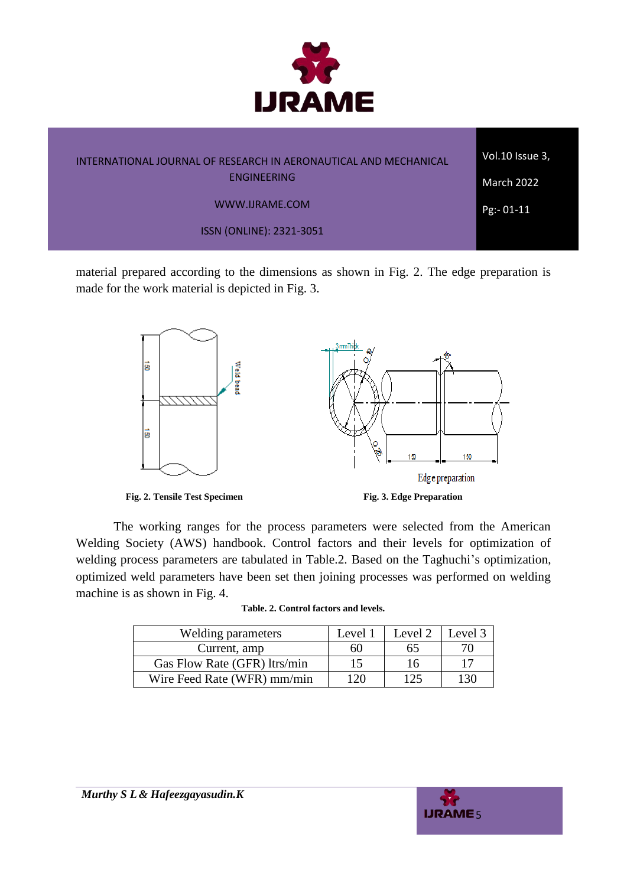

| INTERNATIONAL JOURNAL OF RESEARCH IN AERONAUTICAL AND MECHANICAL | Vol.10 Issue 3,   |
|------------------------------------------------------------------|-------------------|
| ENGINEERING                                                      | <b>March 2022</b> |
| WWW.IJRAME.COM                                                   | $Pg - 01 - 11$    |
| ISSN (ONLINE): 2321-3051                                         |                   |

material prepared according to the dimensions as shown in Fig. 2. The edge preparation is made for the work material is depicted in Fig. 3.



The working ranges for the process parameters were selected from the American Welding Society (AWS) handbook. Control factors and their levels for optimization of welding process parameters are tabulated in Table.2. Based on the Taghuchi's optimization, optimized weld parameters have been set then joining processes was performed on welding machine is as shown in Fig. 4.

| Welding parameters           | Level 1 | Level 2 | Level 3 |
|------------------------------|---------|---------|---------|
| Current, amp                 | 60      | 65      |         |
| Gas Flow Rate (GFR) ltrs/min | 15      | 16      |         |
| Wire Feed Rate (WFR) mm/min  | 120     | 125     | 130     |



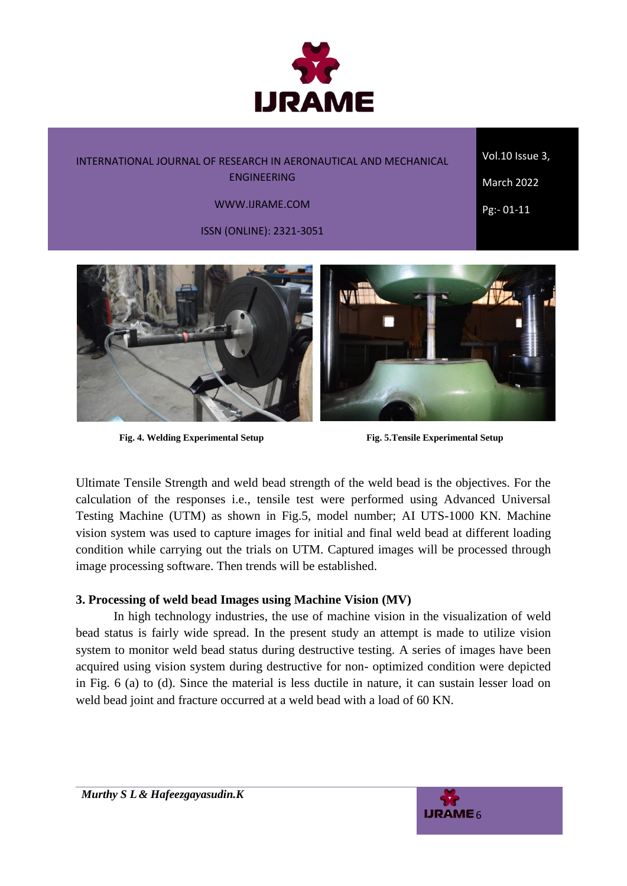

Vol.10 Issue 3,

March 2022

Pg:- 01-11

WWW.IJRAME.COM

ISSN (ONLINE): 2321-3051



**Fig. 4. Welding Experimental Setup Fig. 5.Tensile Experimental Setup**

Ultimate Tensile Strength and weld bead strength of the weld bead is the objectives. For the calculation of the responses i.e., tensile test were performed using Advanced Universal Testing Machine (UTM) as shown in Fig.5, model number; AI UTS-1000 KN. Machine vision system was used to capture images for initial and final weld bead at different loading condition while carrying out the trials on UTM. Captured images will be processed through image processing software. Then trends will be established.

## **3. Processing of weld bead Images using Machine Vision (MV)**

In high technology industries, the use of machine vision in the visualization of weld bead status is fairly wide spread. In the present study an attempt is made to utilize vision system to monitor weld bead status during destructive testing. A series of images have been acquired using vision system during destructive for non- optimized condition were depicted in Fig. 6 (a) to (d). Since the material is less ductile in nature, it can sustain lesser load on weld bead joint and fracture occurred at a weld bead with a load of 60 KN.

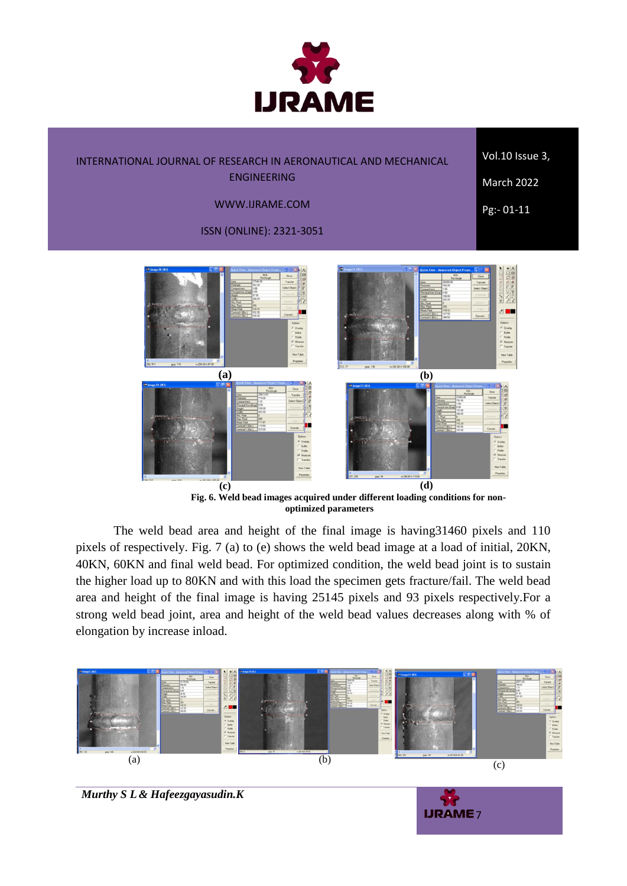

Vol.10 Issue 3,

March 2022 Pg:- 01-11

WWW.IJRAME.COM

ISSN (ONLINE): 2321-3051



**Fig. 6. Weld bead images acquired under different loading conditions for nonoptimized parameters**

The weld bead area and height of the final image is having31460 pixels and 110 pixels of respectively. Fig. 7 (a) to (e) shows the weld bead image at a load of initial, 20KN, 40KN, 60KN and final weld bead. For optimized condition, the weld bead joint is to sustain the higher load up to 80KN and with this load the specimen gets fracture/fail. The weld bead area and height of the final image is having 25145 pixels and 93 pixels respectively.For a strong weld bead joint, area and height of the weld bead values decreases along with % of elongation by increase inload.



*Murthy S L& Hafeezgayasudin.K*

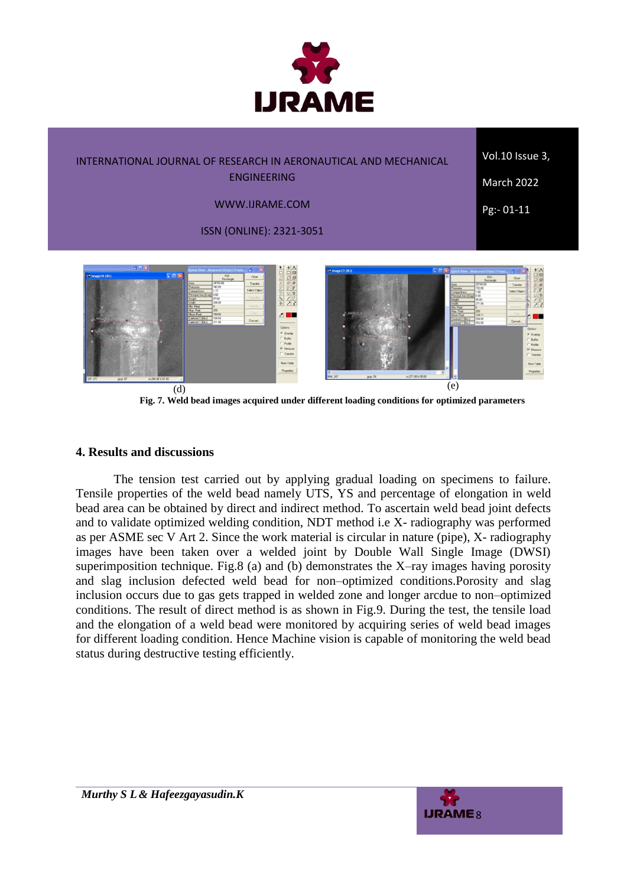

Vol.10 Issue 3,

ENGINEERING

 $Pg: 01-11$ 

March 2022

WWW.IJRAME.COM ISSN (ONLINE): 2321-3051



**Fig. 7. Weld bead images acquired under different loading conditions for optimized parameters**

#### **4. Results and discussions**

The tension test carried out by applying gradual loading on specimens to failure. Tensile properties of the weld bead namely UTS, YS and percentage of elongation in weld bead area can be obtained by direct and indirect method. To ascertain weld bead joint defects and to validate optimized welding condition, NDT method i.e X- radiography was performed as per ASME sec V Art 2. Since the work material is circular in nature (pipe), X- radiography images have been taken over a welded joint by Double Wall Single Image (DWSI) superimposition technique. Fig.8 (a) and (b) demonstrates the  $X$ -ray images having porosity and slag inclusion defected weld bead for non–optimized conditions.Porosity and slag inclusion occurs due to gas gets trapped in welded zone and longer arcdue to non–optimized conditions. The result of direct method is as shown in Fig.9. During the test, the tensile load and the elongation of a weld bead were monitored by acquiring series of weld bead images for different loading condition. Hence Machine vision is capable of monitoring the weld bead status during destructive testing efficiently.

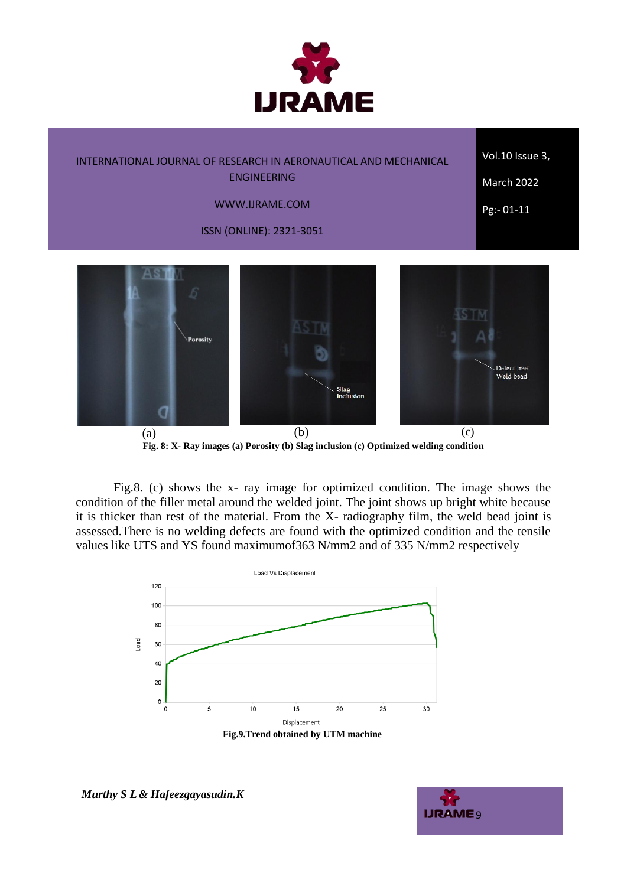

Vol.10 Issue 3,

March 2022

Pg:- 01-11

# WWW.IJRAME.COM

ISSN (ONLINE): 2321-3051



(a)  $(b)$  (c) **Fig. 8: X- Ray images (a) Porosity (b) Slag inclusion (c) Optimized welding condition**

Fig.8. (c) shows the x- ray image for optimized condition. The image shows the condition of the filler metal around the welded joint. The joint shows up bright white because it is thicker than rest of the material. From the X- radiography film, the weld bead joint is assessed.There is no welding defects are found with the optimized condition and the tensile values like UTS and YS found maximumof363 N/mm2 and of 335 N/mm2 respectively





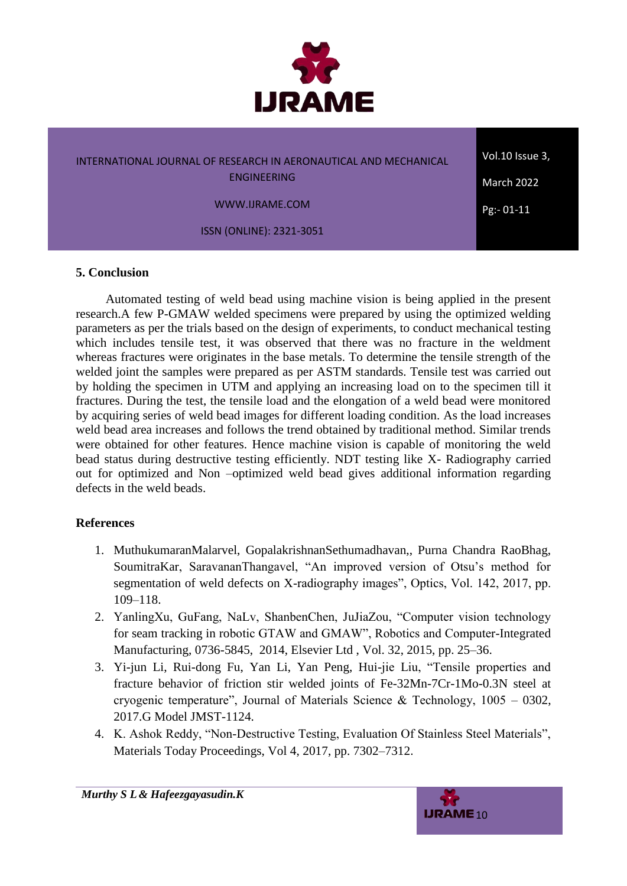

Vol.10 Issue 3, March 2022

 $Pg: -01-11$ 

WWW.IJRAME.COM

ISSN (ONLINE): 2321-3051

#### **5. Conclusion**

Automated testing of weld bead using machine vision is being applied in the present research.A few P-GMAW welded specimens were prepared by using the optimized welding parameters as per the trials based on the design of experiments, to conduct mechanical testing which includes tensile test, it was observed that there was no fracture in the weldment whereas fractures were originates in the base metals. To determine the tensile strength of the welded joint the samples were prepared as per ASTM standards. Tensile test was carried out by holding the specimen in UTM and applying an increasing load on to the specimen till it fractures. During the test, the tensile load and the elongation of a weld bead were monitored by acquiring series of weld bead images for different loading condition. As the load increases weld bead area increases and follows the trend obtained by traditional method. Similar trends were obtained for other features. Hence machine vision is capable of monitoring the weld bead status during destructive testing efficiently. NDT testing like X- Radiography carried out for optimized and Non –optimized weld bead gives additional information regarding defects in the weld beads.

## **References**

- 1. MuthukumaranMalarvel, GopalakrishnanSethumadhavan,, Purna Chandra RaoBhag, SoumitraKar, SaravananThangavel, "An improved version of Otsu's method for segmentation of weld defects on X-radiography images", Optics, Vol. 142, 2017, pp. 109–118.
- 2. YanlingXu, GuFang, NaLv, ShanbenChen, JuJiaZou, "Computer vision technology for seam tracking in robotic GTAW and GMAW", Robotics and Computer-Integrated Manufacturing, 0736-5845, 2014, Elsevier Ltd , Vol. 32, 2015, pp. 25–36.
- 3. Yi-jun Li, Rui-dong Fu, Yan Li, Yan Peng, Hui-jie Liu, "Tensile properties and fracture behavior of friction stir welded joints of Fe-32Mn-7Cr-1Mo-0.3N steel at cryogenic temperature", Journal of Materials Science & Technology, 1005 – 0302, 2017.G Model JMST-1124.
- 4. K. Ashok Reddy, "Non-Destructive Testing, Evaluation Of Stainless Steel Materials", Materials Today Proceedings, Vol 4, 2017, pp. 7302–7312.